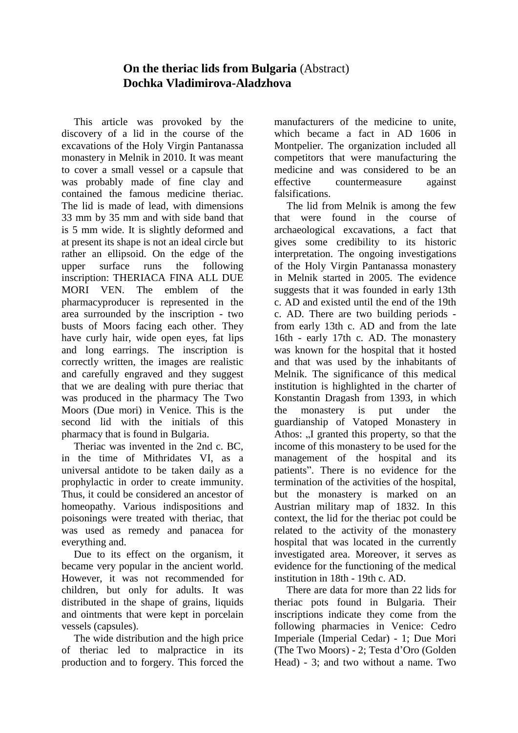## **On the theriac lids from Bulgaria** (Abstract) **Dochka Vladimirova-Aladzhova**

This article was provoked by the discovery of a lid in the course of the excavations of the Holy Virgin Pantanassa monastery in Melnik in 2010. It was meant to cover a small vessel or a capsule that was probably made of fine clay and contained the famous medicine theriac. The lid is made of lead, with dimensions 33 mm by 35 mm and with side band that is 5 mm wide. It is slightly deformed and at present its shape is not an ideal circle but rather an ellipsoid. On the edge of the upper surface runs the following inscription: THERIACA FINA ALL DUE MORI VEN. The emblem of the pharmacyproducer is represented in the area surrounded by the inscription - two busts of Moors facing each other. They have curly hair, wide open eyes, fat lips and long earrings. The inscription is correctly written, the images are realistic and carefully engraved and they suggest that we are dealing with pure theriac that was produced in the pharmacy The Two Moors (Due mori) in Venice. This is the second lid with the initials of this pharmacy that is found in Bulgaria.

Theriac was invented in the 2nd c. BC, in the time of Mithridates VІ, as a universal antidote to be taken daily as a prophylactic in order to create immunity. Thus, it could be considered an ancestor of homeopathy. Various indispositions and poisonings were treated with theriac, that was used as remedy and panacea for everything and.

Due to its effect on the organism, it became very popular in the ancient world. However, it was not recommended for children, but only for adults. It was distributed in the shape of grains, liquids and ointments that were kept in porcelain vessels (capsules).

The wide distribution and the high price of theriac led to malpractice in its production and to forgery. This forced the manufacturers of the medicine to unite, which became a fact in AD 1606 in Montpelier. The organization included all competitors that were manufacturing the medicine and was considered to be an effective countermeasure against falsifications.

The lid from Melnik is among the few that were found in the course of archaeological excavations, a fact that gives some credibility to its historic interpretation. The ongoing investigations of the Holy Virgin Pantanassa monastery in Melnik started in 2005. The evidence suggests that it was founded in early 13th c. AD and existed until the end of the 19th c. AD. There are two building periods from early 13th c. AD and from the late 16th - early 17th c. AD. The monastery was known for the hospital that it hosted and that was used by the inhabitants of Melnik. The significance of this medical institution is highlighted in the charter of Konstantin Dragash from 1393, in which the monastery is put under the guardianship of Vatoped Monastery in Athos: ...I granted this property, so that the income of this monastery to be used for the management of the hospital and its patients". There is no evidence for the termination of the activities of the hospital, but the monastery is marked on an Austrian military map of 1832. In this context, the lid for the theriac pot could be related to the activity of the monastery hospital that was located in the currently investigated area. Moreover, it serves as evidence for the functioning of the medical institution in 18th - 19th c. AD.

There are data for more than 22 lids for theriac pots found in Bulgaria. Their inscriptions indicate they come from the following pharmacies in Venice: Сedro Imperiale (Imperial Cedar) - 1; Due Mori (The Two Moors) - 2; Testa d'Oro (Golden Head) - 3; and two without a name. Two